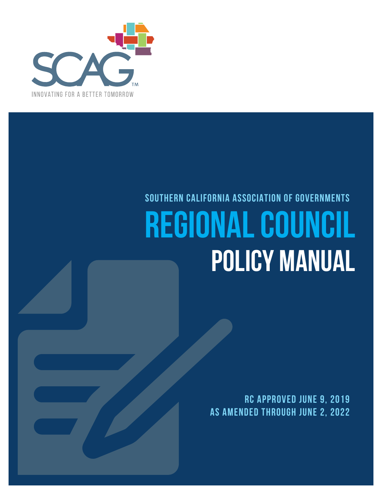

# **SOUTHERN CALIFORNIA ASSOCIATION OF GOVERNMENTS Regional Council Policy Manual**

**RC Approved June 9, 2019 As Amended Through June 2, 2022**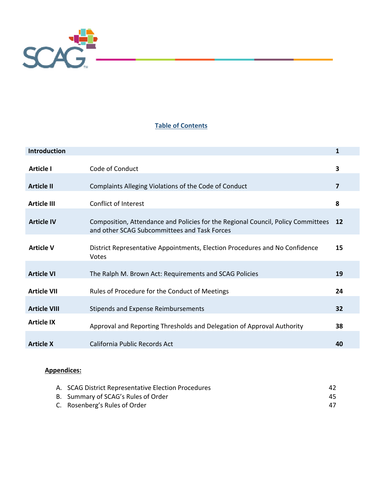

# **Table of Contents**

| <b>Introduction</b> |                                                                                                                                  | 1         |
|---------------------|----------------------------------------------------------------------------------------------------------------------------------|-----------|
| <b>Article I</b>    | Code of Conduct                                                                                                                  | 3         |
| <b>Article II</b>   | Complaints Alleging Violations of the Code of Conduct                                                                            | 7         |
| <b>Article III</b>  | Conflict of Interest                                                                                                             | 8         |
| <b>Article IV</b>   | Composition, Attendance and Policies for the Regional Council, Policy Committees<br>and other SCAG Subcommittees and Task Forces | <b>12</b> |
| <b>Article V</b>    | District Representative Appointments, Election Procedures and No Confidence<br>Votes                                             | 15        |
| <b>Article VI</b>   | The Ralph M. Brown Act: Requirements and SCAG Policies                                                                           | 19        |
| <b>Article VII</b>  | Rules of Procedure for the Conduct of Meetings                                                                                   | 24        |
| <b>Article VIII</b> | <b>Stipends and Expense Reimbursements</b>                                                                                       | 32        |
| <b>Article IX</b>   | Approval and Reporting Thresholds and Delegation of Approval Authority                                                           | 38        |
| <b>Article X</b>    | California Public Records Act                                                                                                    | 40        |

# **Appendices:**

| A. SCAG District Representative Election Procedures | 42  |
|-----------------------------------------------------|-----|
| B. Summary of SCAG's Rules of Order                 | 45. |
| C. Rosenberg's Rules of Order                       | 47  |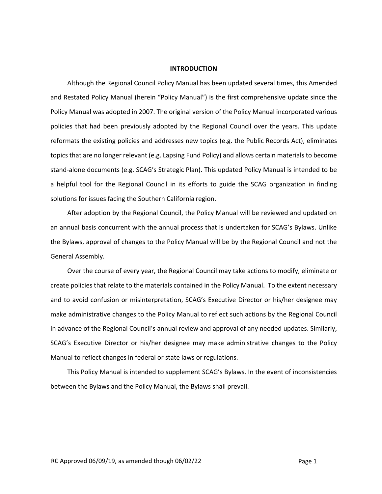#### **INTRODUCTION**

Although the Regional Council Policy Manual has been updated several times, this Amended and Restated Policy Manual (herein "Policy Manual") is the first comprehensive update since the Policy Manual was adopted in 2007. The original version of the Policy Manual incorporated various policies that had been previously adopted by the Regional Council over the years. This update reformats the existing policies and addresses new topics (e.g. the Public Records Act), eliminates topics that are no longer relevant (e.g. Lapsing Fund Policy) and allows certain materials to become stand‐alone documents (e.g. SCAG's Strategic Plan). This updated Policy Manual is intended to be a helpful tool for the Regional Council in its efforts to guide the SCAG organization in finding solutions for issues facing the Southern California region.

After adoption by the Regional Council, the Policy Manual will be reviewed and updated on an annual basis concurrent with the annual process that is undertaken for SCAG's Bylaws. Unlike the Bylaws, approval of changes to the Policy Manual will be by the Regional Council and not the General Assembly.

Over the course of every year, the Regional Council may take actions to modify, eliminate or create policies that relate to the materials contained in the Policy Manual. To the extent necessary and to avoid confusion or misinterpretation, SCAG's Executive Director or his/her designee may make administrative changes to the Policy Manual to reflect such actions by the Regional Council in advance of the Regional Council's annual review and approval of any needed updates. Similarly, SCAG's Executive Director or his/her designee may make administrative changes to the Policy Manual to reflect changes in federal or state laws orregulations.

This Policy Manual is intended to supplement SCAG's Bylaws. In the event of inconsistencies between the Bylaws and the Policy Manual, the Bylaws shall prevail.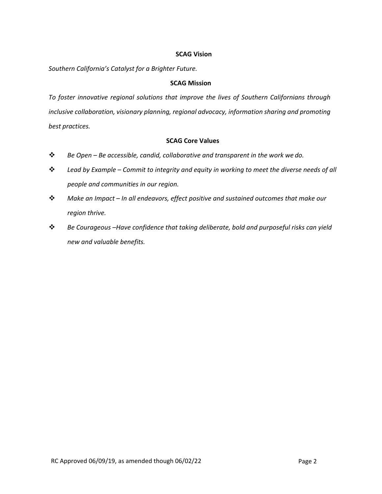#### **SCAG Vision**

*Southern California's Catalyst for a Brighter Future.*

## **SCAG Mission**

*To foster innovative regional solutions that improve the lives of Southern Californians through inclusive collaboration, visionary planning, regional advocacy, information sharing and promoting best practices.*

# **SCAG Core Values**

- *Be Open – Be accessible, candid, collaborative and transparent in the work we do.*
- *Lead by Example – Commit to integrity and equity in working to meet the diverse needs of all people and communities in our region.*
- *Make an Impact – In all endeavors, effect positive and sustained outcomes that make our region thrive.*
- *Be Courageous –Have confidence that taking deliberate, bold and purposeful risks can yield new and valuable benefits.*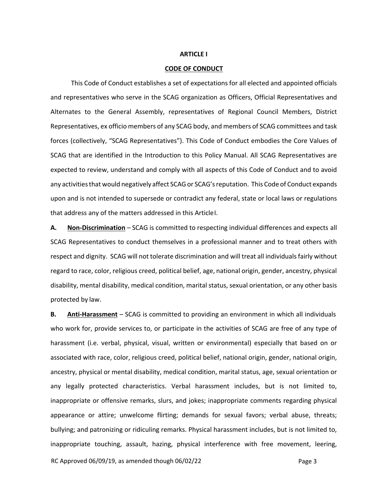#### **ARTICLE I**

#### **CODE OF CONDUCT**

This Code of Conduct establishes a set of expectations for all elected and appointed officials and representatives who serve in the SCAG organization as Officers, Official Representatives and Alternates to the General Assembly, representatives of Regional Council Members, District Representatives, ex officio members of any SCAG body, and members of SCAG committees and task forces (collectively, "SCAG Representatives"). This Code of Conduct embodies the Core Values of SCAG that are identified in the Introduction to this Policy Manual. All SCAG Representatives are expected to review, understand and comply with all aspects of this Code of Conduct and to avoid any activities that would negatively affect SCAG or SCAG's reputation. This Code of Conduct expands upon and is not intended to supersede or contradict any federal, state or local laws or regulations that address any of the matters addressed in this ArticleI.

**A. Non‐Discrimination** – SCAG is committed to respecting individual differences and expects all SCAG Representatives to conduct themselves in a professional manner and to treat others with respect and dignity. SCAG will not tolerate discrimination and will treat all individualsfairly without regard to race, color, religious creed, political belief, age, national origin, gender, ancestry, physical disability, mental disability, medical condition, marital status, sexual orientation, or any other basis protected by law.

**B. Anti‐Harassment** – SCAG is committed to providing an environment in which all individuals who work for, provide services to, or participate in the activities of SCAG are free of any type of harassment (i.e. verbal, physical, visual, written or environmental) especially that based on or associated with race, color, religious creed, political belief, national origin, gender, national origin, ancestry, physical or mental disability, medical condition, marital status, age, sexual orientation or any legally protected characteristics. Verbal harassment includes, but is not limited to, inappropriate or offensive remarks, slurs, and jokes; inappropriate comments regarding physical appearance or attire; unwelcome flirting; demands for sexual favors; verbal abuse, threats; bullying; and patronizing or ridiculing remarks. Physical harassment includes, but is not limited to, inappropriate touching, assault, hazing, physical interference with free movement, leering,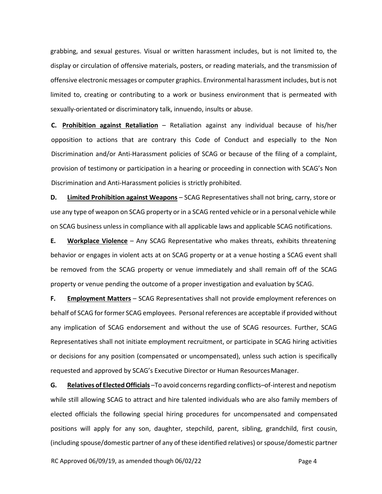grabbing, and sexual gestures. Visual or written harassment includes, but is not limited to, the display or circulation of offensive materials, posters, or reading materials, and the transmission of offensive electronic messages or computer graphics. Environmental harassment includes, but is not limited to, creating or contributing to a work or business environment that is permeated with sexually‐orientated or discriminatory talk, innuendo, insults or abuse.

**C. Prohibition against Retaliation** – Retaliation against any individual because of his/her opposition to actions that are contrary this Code of Conduct and especially to the Non Discrimination and/or Anti-Harassment policies of SCAG or because of the filing of a complaint, provision of testimony or participation in a hearing or proceeding in connection with SCAG's Non Discrimination and Anti‐Harassment policies is strictly prohibited.

**D. Limited Prohibition against Weapons** – SCAG Representatives shall not bring, carry, store or use any type of weapon on SCAG property or in a SCAG rented vehicle or in a personal vehicle while on SCAG business unless in compliance with all applicable laws and applicable SCAG notifications.

**E. Workplace Violence** – Any SCAG Representative who makes threats, exhibits threatening behavior or engages in violent acts at on SCAG property or at a venue hosting a SCAG event shall be removed from the SCAG property or venue immediately and shall remain off of the SCAG property or venue pending the outcome of a proper investigation and evaluation by SCAG.

**F. Employment Matters** – SCAG Representatives shall not provide employment references on behalf of SCAG for former SCAG employees. Personal references are acceptable if provided without any implication of SCAG endorsement and without the use of SCAG resources. Further, SCAG Representatives shall not initiate employment recruitment, or participate in SCAG hiring activities or decisions for any position (compensated or uncompensated), unless such action is specifically requested and approved by SCAG's Executive Director or Human ResourcesManager.

**G. Relatives of ElectedOfficials** –To avoid concernsregarding conflicts–of‐interest and nepotism while still allowing SCAG to attract and hire talented individuals who are also family members of elected officials the following special hiring procedures for uncompensated and compensated positions will apply for any son, daughter, stepchild, parent, sibling, grandchild, first cousin, (including spouse/domestic partner of any of these identified relatives) orspouse/domestic partner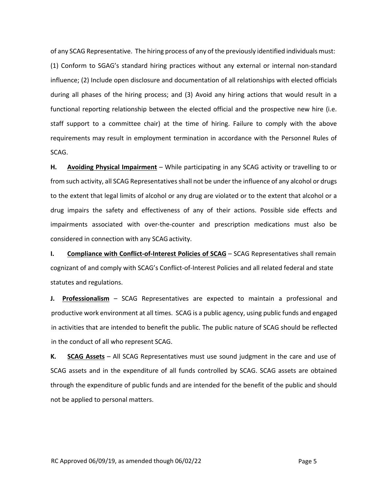of any SCAG Representative. The hiring process of any of the previously identified individuals must: (1) Conform to SGAG's standard hiring practices without any external or internal non‐standard influence; (2) Include open disclosure and documentation of all relationships with elected officials during all phases of the hiring process; and (3) Avoid any hiring actions that would result in a functional reporting relationship between the elected official and the prospective new hire (i.e. staff support to a committee chair) at the time of hiring. Failure to comply with the above requirements may result in employment termination in accordance with the Personnel Rules of SCAG.

**H. Avoiding Physical Impairment** – While participating in any SCAG activity or travelling to or from such activity, all SCAG Representatives shall not be under the influence of any alcohol or drugs to the extent that legal limits of alcohol or any drug are violated or to the extent that alcohol or a drug impairs the safety and effectiveness of any of their actions. Possible side effects and impairments associated with over-the-counter and prescription medications must also be considered in connection with any SCAG activity.

**I. Compliance with Conflict-of-Interest Policies of SCAG** – SCAG Representatives shall remain cognizant of and comply with SCAG's Conflict‐of‐Interest Policies and all related federal and state statutes and regulations.

**J. Professionalism** – SCAG Representatives are expected to maintain a professional and productive work environment at all times. SCAG is a public agency, using public funds and engaged in activities that are intended to benefit the public. The public nature of SCAG should be reflected in the conduct of all who represent SCAG.

**K. SCAG Assets** – All SCAG Representatives must use sound judgment in the care and use of SCAG assets and in the expenditure of all funds controlled by SCAG. SCAG assets are obtained through the expenditure of public funds and are intended for the benefit of the public and should not be applied to personal matters.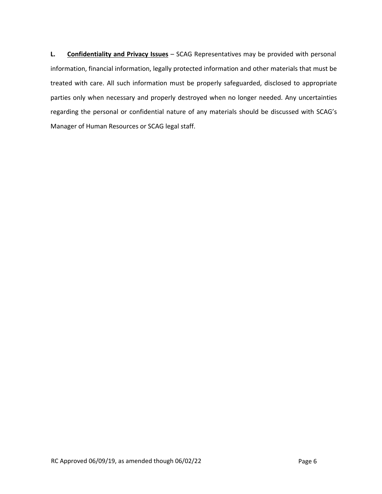**L. Confidentiality and Privacy Issues** – SCAG Representatives may be provided with personal information, financial information, legally protected information and other materials that must be treated with care. All such information must be properly safeguarded, disclosed to appropriate parties only when necessary and properly destroyed when no longer needed. Any uncertainties regarding the personal or confidential nature of any materials should be discussed with SCAG's Manager of Human Resources or SCAG legal staff.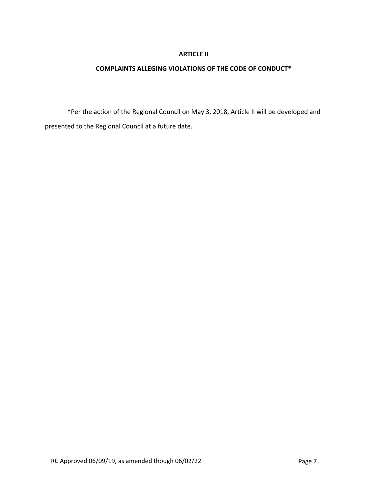### **ARTICLE II**

## **COMPLAINTS ALLEGING VIOLATIONS OF THE CODE OF CONDUCT\***

\*Per the action of the Regional Council on May 3, 2018, Article II will be developed and presented to the Regional Council at a future date.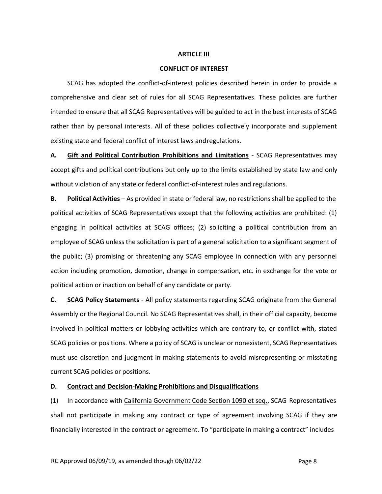#### **ARTICLE III**

#### **CONFLICT OF INTEREST**

SCAG has adopted the conflict‐of‐interest policies described herein in order to provide a comprehensive and clear set of rules for all SCAG Representatives. These policies are further intended to ensure that all SCAG Representatives will be guided to act in the best interests of SCAG rather than by personal interests. All of these policies collectively incorporate and supplement existing state and federal conflict of interest laws andregulations.

**A. Gift and Political Contribution Prohibitions and Limitations** ‐ SCAG Representatives may accept gifts and political contributions but only up to the limits established by state law and only without violation of any state or federal conflict-of-interest rules and regulations.

**B. Political Activities** – As provided in state or federal law, no restrictions shall be applied to the political activities of SCAG Representatives except that the following activities are prohibited: (1) engaging in political activities at SCAG offices; (2) soliciting a political contribution from an employee of SCAG unless the solicitation is part of a general solicitation to a significant segment of the public; (3) promising or threatening any SCAG employee in connection with any personnel action including promotion, demotion, change in compensation, etc. in exchange for the vote or political action or inaction on behalf of any candidate or party.

**C. SCAG Policy Statements** ‐ All policy statements regarding SCAG originate from the General Assembly or the Regional Council. No SCAG Representatives shall, in their official capacity, become involved in political matters or lobbying activities which are contrary to, or conflict with, stated SCAG policies or positions. Where a policy of SCAG is unclear or nonexistent, SCAG Representatives must use discretion and judgment in making statements to avoid misrepresenting or misstating current SCAG policies or positions.

#### **D. Contract and Decision‐Making Prohibitions and Disqualifications**

(1) In accordance with California Government Code Section 1090 et seq., SCAG Representatives shall not participate in making any contract or type of agreement involving SCAG if they are financially interested in the contract or agreement. To "participate in making a contract" includes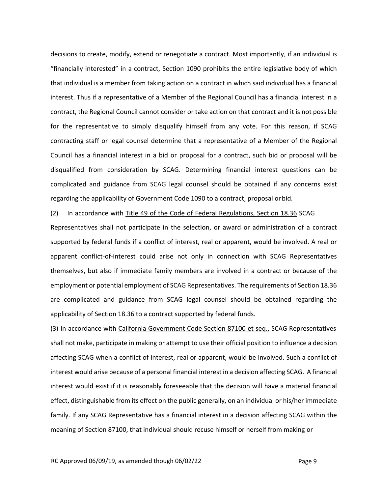decisions to create, modify, extend or renegotiate a contract. Most importantly, if an individual is "financially interested" in a contract, Section 1090 prohibits the entire legislative body of which that individual is a member from taking action on a contract in which said individual has a financial interest. Thus if a representative of a Member of the Regional Council has a financial interest in a contract, the Regional Council cannot consider or take action on that contract and it is not possible for the representative to simply disqualify himself from any vote. For this reason, if SCAG contracting staff or legal counsel determine that a representative of a Member of the Regional Council has a financial interest in a bid or proposal for a contract, such bid or proposal will be disqualified from consideration by SCAG. Determining financial interest questions can be complicated and guidance from SCAG legal counsel should be obtained if any concerns exist regarding the applicability of Government Code 1090 to a contract, proposal orbid.

(2) In accordance with Title 49 of the Code of Federal Regulations, Section 18.36 SCAG

Representatives shall not participate in the selection, or award or administration of a contract supported by federal funds if a conflict of interest, real or apparent, would be involved. A real or apparent conflict‐of‐interest could arise not only in connection with SCAG Representatives themselves, but also if immediate family members are involved in a contract or because of the employment or potential employment of SCAG Representatives. The requirements of Section 18.36 are complicated and guidance from SCAG legal counsel should be obtained regarding the applicability of Section 18.36 to a contract supported by federal funds.

(3) In accordance with California Government Code Section 87100 et seq., SCAG Representatives shall not make, participate in making or attempt to use their official position to influence a decision affecting SCAG when a conflict of interest, real or apparent, would be involved. Such a conflict of interest would arise because of a personal financial interest in a decision affecting SCAG. A financial interest would exist if it is reasonably foreseeable that the decision will have a material financial effect, distinguishable from its effect on the public generally, on an individual or his/her immediate family. If any SCAG Representative has a financial interest in a decision affecting SCAG within the meaning of Section 87100, that individual should recuse himself or herself from making or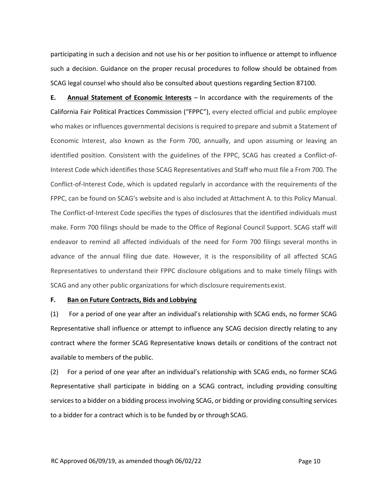participating in such a decision and not use his or her position to influence or attempt to influence such a decision. Guidance on the proper recusal procedures to follow should be obtained from SCAG legal counsel who should also be consulted about questions regarding Section 87100.

**E. Annual Statement of Economic Interests** – In accordance with the requirements of the California Fair Political Practices Commission ("FPPC"), every elected official and public employee who makes or influences governmental decisions is required to prepare and submit a Statement of Economic Interest, also known as the Form 700, annually, and upon assuming or leaving an identified position. Consistent with the guidelines of the FPPC, SCAG has created a Conflict-of-Interest Code which identifies those SCAG Representatives and Staff who must file a From 700. The Conflict‐of‐Interest Code, which is updated regularly in accordance with the requirements of the FPPC, can be found on SCAG's website and is also included at Attachment A. to this Policy Manual. The Conflict-of-Interest Code specifies the types of disclosures that the identified individuals must make. Form 700 filings should be made to the Office of Regional Council Support. SCAG staff will endeavor to remind all affected individuals of the need for Form 700 filings several months in advance of the annual filing due date. However, it is the responsibility of all affected SCAG Representatives to understand their FPPC disclosure obligations and to make timely filings with SCAG and any other public organizations for which disclosure requirements exist.

#### **F. Ban on Future Contracts, Bids and Lobbying**

(1) For a period of one year after an individual's relationship with SCAG ends, no former SCAG Representative shall influence or attempt to influence any SCAG decision directly relating to any contract where the former SCAG Representative knows details or conditions of the contract not available to members of the public.

(2) For a period of one year after an individual's relationship with SCAG ends, no former SCAG Representative shall participate in bidding on a SCAG contract, including providing consulting services to a bidder on a bidding process involving SCAG, or bidding or providing consulting services to a bidder for a contract which is to be funded by or through SCAG.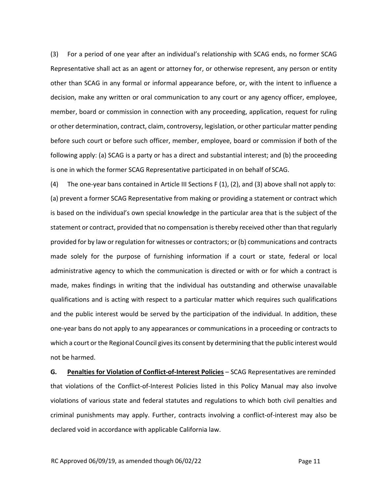(3) For a period of one year after an individual's relationship with SCAG ends, no former SCAG Representative shall act as an agent or attorney for, or otherwise represent, any person or entity other than SCAG in any formal or informal appearance before, or, with the intent to influence a decision, make any written or oral communication to any court or any agency officer, employee, member, board or commission in connection with any proceeding, application, request for ruling or other determination, contract, claim, controversy, legislation, or other particular matter pending before such court or before such officer, member, employee, board or commission if both of the following apply: (a) SCAG is a party or has a direct and substantial interest; and (b) the proceeding is one in which the former SCAG Representative participated in on behalf of SCAG.

(4) The one‐year bans contained in Article III Sections F (1), (2), and (3) above shall not apply to: (a) prevent a former SCAG Representative from making or providing a statement or contract which is based on the individual's own special knowledge in the particular area that is the subject of the statement or contract, provided that no compensation is thereby received other than that regularly provided for by law or regulation for witnesses or contractors; or (b) communications and contracts made solely for the purpose of furnishing information if a court or state, federal or local administrative agency to which the communication is directed or with or for which a contract is made, makes findings in writing that the individual has outstanding and otherwise unavailable qualifications and is acting with respect to a particular matter which requires such qualifications and the public interest would be served by the participation of the individual. In addition, these one‐year bans do not apply to any appearances or communications in a proceeding or contracts to which a court or the Regional Council gives its consent by determining that the public interest would not be harmed.

**G. Penalties for Violation of Conflict‐of‐Interest Policies** – SCAG Representatives are reminded that violations of the Conflict‐of‐Interest Policies listed in this Policy Manual may also involve violations of various state and federal statutes and regulations to which both civil penalties and criminal punishments may apply. Further, contracts involving a conflict‐of‐interest may also be declared void in accordance with applicable California law.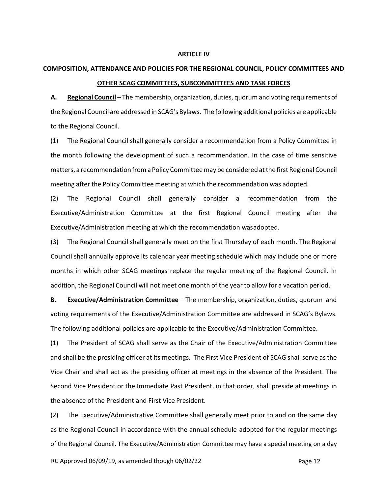#### **ARTICLE IV**

# **COMPOSITION, ATTENDANCE AND POLICIES FOR THE REGIONAL COUNCIL, POLICY COMMITTEES AND OTHER SCAG COMMITTEES, SUBCOMMITTEES AND TASK FORCES**

A. **Regional Council** – The membership, organization, duties, quorum and voting requirements of the Regional Council are addressed in SCAG's Bylaws. The following additional policies are applicable to the Regional Council.

(1) The Regional Council shall generally consider a recommendation from a Policy Committee in the month following the development of such a recommendation. In the case of time sensitive matters, a recommendation froma Policy Committeemay be considered atthe first Regional Council meeting after the Policy Committee meeting at which the recommendation was adopted.

(2) The Regional Council shall generally consider a recommendation from the Executive/Administration Committee at the first Regional Council meeting after the Executive/Administration meeting at which the recommendation wasadopted.

(3) The Regional Council shall generally meet on the first Thursday of each month. The Regional Council shall annually approve its calendar year meeting schedule which may include one or more months in which other SCAG meetings replace the regular meeting of the Regional Council. In addition, the Regional Council will not meet one month of the year to allow for a vacation period.

**B. Executive/Administration Committee** – The membership, organization, duties, quorum and voting requirements of the Executive/Administration Committee are addressed in SCAG's Bylaws. The following additional policies are applicable to the Executive/Administration Committee.

(1) The President of SCAG shall serve as the Chair of the Executive/Administration Committee and shall be the presiding officer at its meetings. The First Vice President of SCAG shall serve as the Vice Chair and shall act as the presiding officer at meetings in the absence of the President. The Second Vice President or the Immediate Past President, in that order, shall preside at meetings in the absence of the President and First Vice President.

(2) The Executive/Administrative Committee shall generally meet prior to and on the same day as the Regional Council in accordance with the annual schedule adopted for the regular meetings of the Regional Council. The Executive/Administration Committee may have a special meeting on a day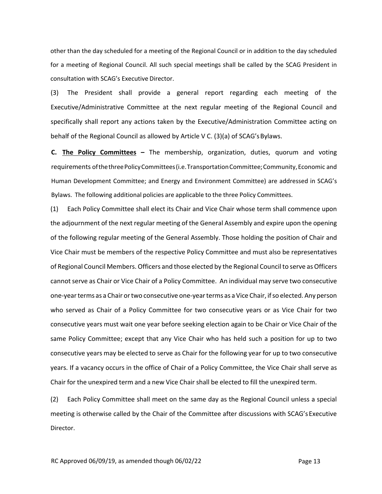other than the day scheduled for a meeting of the Regional Council or in addition to the day scheduled for a meeting of Regional Council. All such special meetings shall be called by the SCAG President in consultation with SCAG's Executive Director.

(3) The President shall provide a general report regarding each meeting of the Executive/Administrative Committee at the next regular meeting of the Regional Council and specifically shall report any actions taken by the Executive/Administration Committee acting on behalf of the Regional Council as allowed by Article V C. (3)(a) of SCAG'sBylaws.

**C. The Policy Committees –** The membership, organization, duties, quorum and voting requirements ofthethreePolicyCommittees(i.e.TransportationCommittee;Community,Economic and Human Development Committee; and Energy and Environment Committee) are addressed in SCAG's Bylaws. The following additional policies are applicable to the three Policy Committees.

(1) Each Policy Committee shall elect its Chair and Vice Chair whose term shall commence upon the adjournment of the next regular meeting of the General Assembly and expire upon the opening of the following regular meeting of the General Assembly. Those holding the position of Chair and Vice Chair must be members of the respective Policy Committee and must also be representatives of Regional Council Members. Officers and those elected by the Regional Council to serve as Officers cannot serve as Chair or Vice Chair of a Policy Committee. An individual may serve two consecutive one‐yearterms as a Chair ortwo consecutive one‐yearterms as aVice Chair, ifso elected.Any person who served as Chair of a Policy Committee for two consecutive years or as Vice Chair for two consecutive years must wait one year before seeking election again to be Chair or Vice Chair of the same Policy Committee; except that any Vice Chair who has held such a position for up to two consecutive years may be elected to serve as Chair for the following year for up to two consecutive years. If a vacancy occurs in the office of Chair of a Policy Committee, the Vice Chair shall serve as Chair for the unexpired term and a new Vice Chair shall be elected to fill the unexpired term.

(2) Each Policy Committee shall meet on the same day as the Regional Council unless a special meeting is otherwise called by the Chair of the Committee after discussions with SCAG's Executive Director.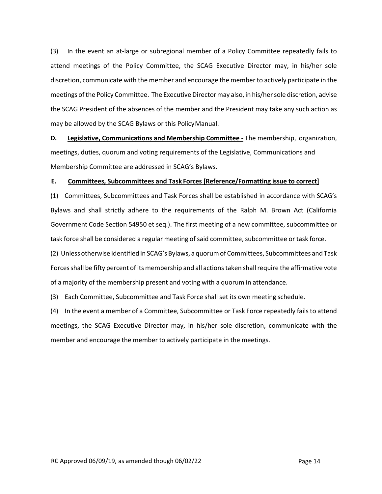(3) In the event an at‐large or subregional member of a Policy Committee repeatedly fails to attend meetings of the Policy Committee, the SCAG Executive Director may, in his/her sole discretion, communicate with the member and encourage the member to actively participate in the meetings ofthe Policy Committee. The Executive Directormay also, in his/hersole discretion, advise the SCAG President of the absences of the member and the President may take any such action as may be allowed by the SCAG Bylaws or this PolicyManual.

**D. Legislative, Communications and Membership Committee ‐** The membership, organization, meetings, duties, quorum and voting requirements of the Legislative, Communications and Membership Committee are addressed in SCAG's Bylaws.

## **E. Committees, Subcommittees and Task Forces [Reference/Formatting issue to correct]**

(1) Committees, Subcommittees and Task Forces shall be established in accordance with SCAG's Bylaws and shall strictly adhere to the requirements of the Ralph M. Brown Act (California Government Code Section 54950 et seq.). The first meeting of a new committee, subcommittee or task force shall be considered a regular meeting of said committee, subcommittee or task force.

(2) Unless otherwise identified in SCAG's Bylaws, a quorumof Committees, Subcommittees and Task Forces shall be fifty percent of its membership and all actions taken shall require the affirmative vote of a majority of the membership present and voting with a quorum in attendance.

(3) Each Committee, Subcommittee and Task Force shall set its own meeting schedule.

(4) In the event a member of a Committee, Subcommittee or Task Force repeatedly failsto attend meetings, the SCAG Executive Director may, in his/her sole discretion, communicate with the member and encourage the member to actively participate in the meetings.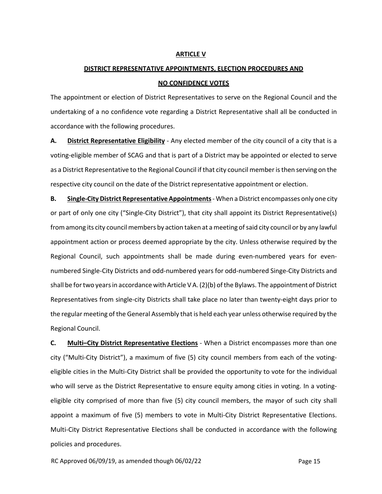#### **ARTICLE V**

# **DISTRICT REPRESENTATIVE APPOINTMENTS, ELECTION PROCEDURES AND NO CONFIDENCE VOTES**

The appointment or election of District Representatives to serve on the Regional Council and the undertaking of a no confidence vote regarding a District Representative shall all be conducted in accordance with the following procedures.

**A. District Representative Eligibility** ‐ Any elected member of the city council of a city that is a voting‐eligible member of SCAG and that is part of a District may be appointed or elected to serve as a District Representative to the Regional Council if that city council memberisthen serving on the respective city council on the date of the District representative appointment or election.

**B. Single‐City District Representative Appointments**‐ When a District encompasses only one city or part of only one city ("Single‐City District"), that city shall appoint its District Representative(s) from among its city council members by action taken at a meeting of said city council or by any lawful appointment action or process deemed appropriate by the city. Unless otherwise required by the Regional Council, such appointments shall be made during even‐numbered years for even‐ numbered Single‐City Districts and odd‐numbered years for odd‐numbered Singe‐City Districts and shall be fortwo yearsin accordance with Article V A.(2)(b) ofthe Bylaws. The appointment of District Representatives from single‐city Districts shall take place no later than twenty‐eight days prior to the regular meeting of the General Assembly that is held each year unless otherwise required by the Regional Council.

**C. Multi–City District Representative Elections** ‐ When a District encompasses more than one city ("Multi‐City District"), a maximum of five (5) city council members from each of the voting‐ eligible cities in the Multi‐City District shall be provided the opportunity to vote for the individual who will serve as the District Representative to ensure equity among cities in voting. In a votingeligible city comprised of more than five (5) city council members, the mayor of such city shall appoint a maximum of five (5) members to vote in Multi-City District Representative Elections. Multi‐City District Representative Elections shall be conducted in accordance with the following policies and procedures.

RC Approved 06/09/19, as amended though 06/02/22 Page 15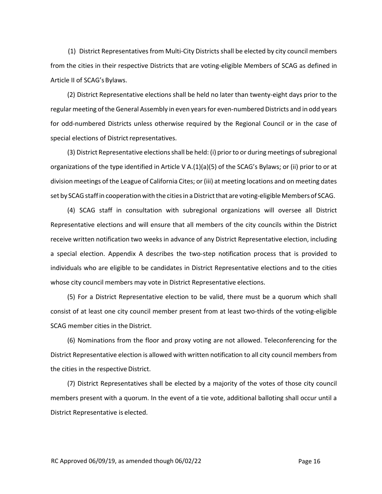(1) District Representatives from Multi-City Districts shall be elected by city council members from the cities in their respective Districts that are voting‐eligible Members of SCAG as defined in Article II of SCAG's Bylaws.

(2) District Representative elections shall be held no later than twenty‐eight days prior to the regular meeting ofthe General Assembly in even yearsfor even‐numbered Districts and in odd years for odd-numbered Districts unless otherwise required by the Regional Council or in the case of special elections of District representatives.

(3) District Representative elections shall be held: (i) prior to or during meetings of subregional organizations of the type identified in Article V A.(1)(a)(5) of the SCAG's Bylaws; or (ii) prior to or at division meetings of the League of California Cites; or (iii) at meeting locations and on meeting dates set by SCAG staff in cooperation with the cities in a District that are voting-eligible Members of SCAG.

(4) SCAG staff in consultation with subregional organizations will oversee all District Representative elections and will ensure that all members of the city councils within the District receive written notification two weeks in advance of any District Representative election, including a special election. Appendix A describes the two‐step notification process that is provided to individuals who are eligible to be candidates in District Representative elections and to the cities whose city council members may vote in District Representative elections.

(5) For a District Representative election to be valid, there must be a quorum which shall consist of at least one city council member present from at least two-thirds of the voting-eligible SCAG member cities in the District.

(6) Nominations from the floor and proxy voting are not allowed. Teleconferencing for the District Representative election is allowed with written notification to all city council membersfrom the cities in the respective District.

(7) District Representatives shall be elected by a majority of the votes of those city council members present with a quorum. In the event of a tie vote, additional balloting shall occur until a District Representative is elected.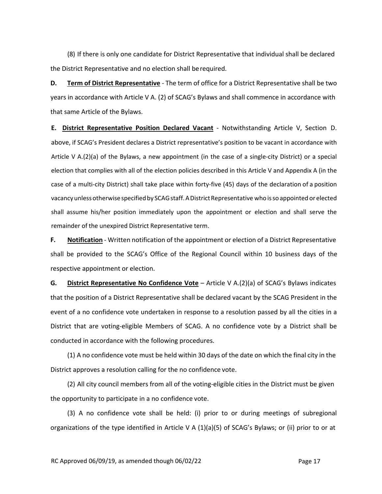(8) If there is only one candidate for District Representative that individual shall be declared the District Representative and no election shall berequired.

**D. Term of District Representative** ‐ The term of office for a District Representative shall be two years in accordance with Article V A. (2) of SCAG's Bylaws and shall commence in accordance with that same Article of the Bylaws.

**E. District Representative Position Declared Vacant** ‐ Notwithstanding Article V, Section D. above, if SCAG's President declares a District representative's position to be vacant in accordance with Article V A.(2)(a) of the Bylaws, a new appointment (in the case of a single‐city District) or a special election that complies with all of the election policies described in this Article V and Appendix A (in the case of a multi‐city District) shall take place within forty‐five (45) days of the declaration of a position vacancy unless otherwise specified by SCAG staff. A District Representative who is so appointed or elected shall assume his/her position immediately upon the appointment or election and shall serve the remainder of the unexpired District Representative term.

**F. Notification** ‐ Written notification of the appointment or election of a District Representative shall be provided to the SCAG's Office of the Regional Council within 10 business days of the respective appointment or election.

**G. District Representative No Confidence Vote** – Article V A.(2)(a) of SCAG's Bylaws indicates that the position of a District Representative shall be declared vacant by the SCAG President in the event of a no confidence vote undertaken in response to a resolution passed by all the cities in a District that are voting‐eligible Members of SCAG. A no confidence vote by a District shall be conducted in accordance with the following procedures.

(1) A no confidence vote must be held within 30 days of the date on which the final city in the District approves a resolution calling for the no confidence vote.

(2) All city council members from all of the voting‐eligible cities in the District must be given the opportunity to participate in a no confidence vote.

(3) A no confidence vote shall be held: (i) prior to or during meetings of subregional organizations of the type identified in Article V A (1)(a)(5) of SCAG's Bylaws; or (ii) prior to or at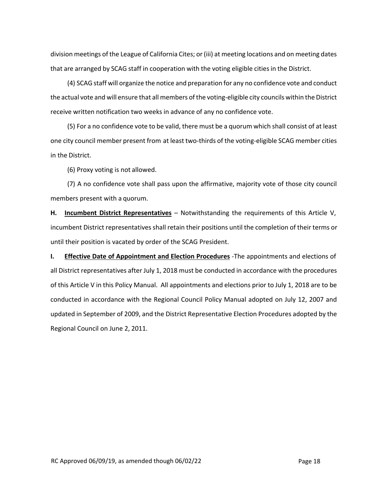division meetings of the League of California Cites; or(iii) at meeting locations and on meeting dates that are arranged by SCAG staff in cooperation with the voting eligible cities in the District.

(4) SCAG staff will organize the notice and preparation for any no confidence vote and conduct the actual vote and will ensure that all members of the voting-eligible city councils within the District receive written notification two weeks in advance of any no confidence vote.

(5) For a no confidence vote to be valid, there must be a quorum which shall consist of at least one city council member present from at least two-thirds of the voting-eligible SCAG member cities in the District.

(6) Proxy voting is not allowed.

(7) A no confidence vote shall pass upon the affirmative, majority vote of those city council members present with a quorum.

**H. Incumbent District Representatives** – Notwithstanding the requirements of this Article V, incumbent District representatives shall retain their positions until the completion of their terms or until their position is vacated by order of the SCAG President.

**I. Effective Date of Appointment and Election Procedures** ‐The appointments and elections of all District representatives after July 1, 2018 must be conducted in accordance with the procedures of this Article V in this Policy Manual. All appointments and elections prior to July 1, 2018 are to be conducted in accordance with the Regional Council Policy Manual adopted on July 12, 2007 and updated in September of 2009, and the District Representative Election Procedures adopted by the Regional Council on June 2, 2011.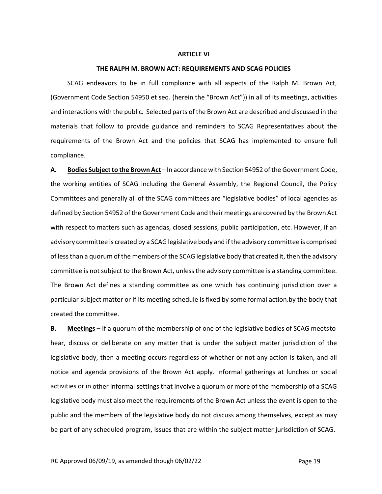#### **ARTICLE VI**

#### **THE RALPH M. BROWN ACT: REQUIREMENTS AND SCAG POLICIES**

SCAG endeavors to be in full compliance with all aspects of the Ralph M. Brown Act, (Government Code Section 54950 et seq. (herein the "Brown Act")) in all of its meetings, activities and interactions with the public. Selected parts of the Brown Act are described and discussed in the materials that follow to provide guidance and reminders to SCAG Representatives about the requirements of the Brown Act and the policies that SCAG has implemented to ensure full compliance.

**A. Bodies Subjectto the Brown Act** – In accordance with Section 54952 of the Government Code, the working entities of SCAG including the General Assembly, the Regional Council, the Policy Committees and generally all of the SCAG committees are "legislative bodies" of local agencies as defined by Section 54952 of the Government Code and their meetings are covered by the Brown Act with respect to matters such as agendas, closed sessions, public participation, etc. However, if an advisory committee is created by a SCAG legislative body and if the advisory committee is comprised of lessthan a quorum of the members of the SCAG legislative body that created it, then the advisory committee is not subject to the Brown Act, unless the advisory committee is a standing committee. The Brown Act defines a standing committee as one which has continuing jurisdiction over a particular subject matter or if its meeting schedule is fixed by some formal action.by the body that created the committee.

**B. Meetings** – If a quorum of the membership of one of the legislative bodies of SCAG meetsto hear, discuss or deliberate on any matter that is under the subject matter jurisdiction of the legislative body, then a meeting occurs regardless of whether or not any action is taken, and all notice and agenda provisions of the Brown Act apply. Informal gatherings at lunches or social activities or in other informal settings that involve a quorum or more of the membership of a SCAG legislative body must also meet the requirements of the Brown Act unless the event is open to the public and the members of the legislative body do not discuss among themselves, except as may be part of any scheduled program, issues that are within the subject matter jurisdiction of SCAG.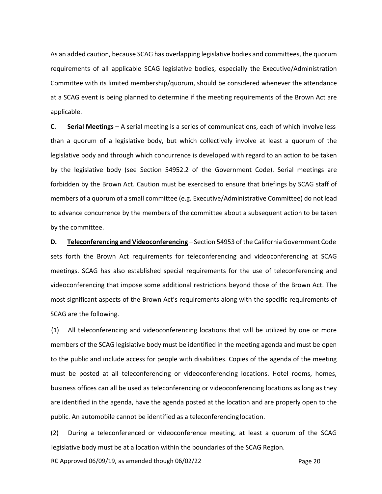As an added caution, because SCAG has overlapping legislative bodies and committees, the quorum requirements of all applicable SCAG legislative bodies, especially the Executive/Administration Committee with its limited membership/quorum, should be considered whenever the attendance at a SCAG event is being planned to determine if the meeting requirements of the Brown Act are applicable.

**C. Serial Meetings** – A serial meeting is a series of communications, each of which involve less than a quorum of a legislative body, but which collectively involve at least a quorum of the legislative body and through which concurrence is developed with regard to an action to be taken by the legislative body (see Section 54952.2 of the Government Code). Serial meetings are forbidden by the Brown Act. Caution must be exercised to ensure that briefings by SCAG staff of members of a quorum of a small committee (e.g. Executive/Administrative Committee) do not lead to advance concurrence by the members of the committee about a subsequent action to be taken by the committee.

**D.** Teleconferencing and Videoconferencing – Section 54953 of the California Government Code sets forth the Brown Act requirements for teleconferencing and videoconferencing at SCAG meetings. SCAG has also established special requirements for the use of teleconferencing and videoconferencing that impose some additional restrictions beyond those of the Brown Act. The most significant aspects of the Brown Act's requirements along with the specific requirements of SCAG are the following.

(1) All teleconferencing and videoconferencing locations that will be utilized by one or more members of the SCAG legislative body must be identified in the meeting agenda and must be open to the public and include access for people with disabilities. Copies of the agenda of the meeting must be posted at all teleconferencing or videoconferencing locations. Hotel rooms, homes, business offices can all be used as teleconferencing or videoconferencing locations as long as they are identified in the agenda, have the agenda posted at the location and are properly open to the public. An automobile cannot be identified as a teleconferencing location.

(2) During a teleconferenced or videoconference meeting, at least a quorum of the SCAG legislative body must be at a location within the boundaries of the SCAG Region.

RC Approved 06/09/19, as amended though 06/02/22 Page 20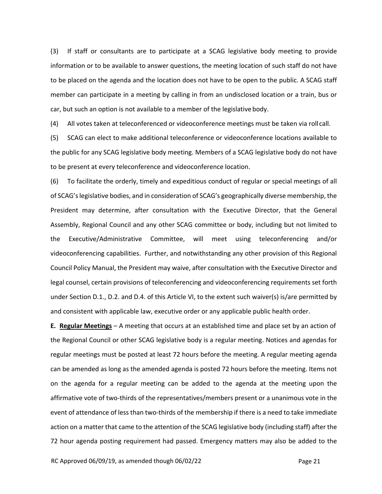(3) If staff or consultants are to participate at a SCAG legislative body meeting to provide information or to be available to answer questions, the meeting location of such staff do not have to be placed on the agenda and the location does not have to be open to the public. A SCAG staff member can participate in a meeting by calling in from an undisclosed location or a train, bus or car, but such an option is not available to a member of the legislative body.

(4) All votes taken at teleconferenced or videoconference meetings must be taken via roll call.

(5) SCAG can elect to make additional teleconference or videoconference locations available to the public for any SCAG legislative body meeting. Members of a SCAG legislative body do not have to be present at every teleconference and videoconference location.

(6) To facilitate the orderly, timely and expeditious conduct of regular or special meetings of all of SCAG'slegislative bodies, and in consideration of SCAG's geographically diverse membership, the President may determine, after consultation with the Executive Director, that the General Assembly, Regional Council and any other SCAG committee or body, including but not limited to the Executive/Administrative Committee, will meet using teleconferencing and/or videoconferencing capabilities. Further, and notwithstanding any other provision of this Regional Council Policy Manual, the President may waive, after consultation with the Executive Director and legal counsel, certain provisions of teleconferencing and videoconferencing requirements set forth under Section D.1., D.2. and D.4. of this Article VI, to the extent such waiver(s) is/are permitted by and consistent with applicable law, executive order or any applicable public health order.

**E. Regular Meetings** – A meeting that occurs at an established time and place set by an action of the Regional Council or other SCAG legislative body is a regular meeting. Notices and agendas for regular meetings must be posted at least 72 hours before the meeting. A regular meeting agenda can be amended as long as the amended agenda is posted 72 hours before the meeting. Items not on the agenda for a regular meeting can be added to the agenda at the meeting upon the affirmative vote of two‐thirds of the representatives/members present or a unanimous vote in the event of attendance of less than two-thirds of the membership if there is a need to take immediate action on a matter that came to the attention of the SCAG legislative body (including staff) after the 72 hour agenda posting requirement had passed. Emergency matters may also be added to the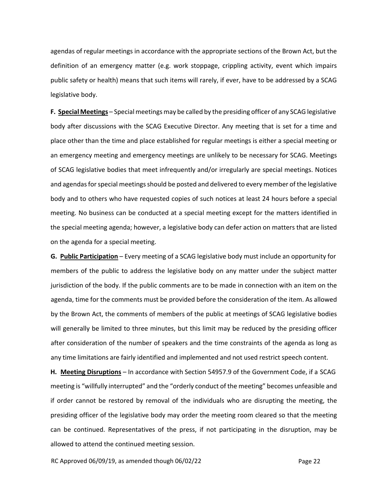agendas of regular meetings in accordance with the appropriate sections of the Brown Act, but the definition of an emergency matter (e.g. work stoppage, crippling activity, event which impairs public safety or health) means that such items will rarely, if ever, have to be addressed by a SCAG legislative body.

**F. Special Meetings** – Special meetings may be called by the presiding officer of any SCAG legislative body after discussions with the SCAG Executive Director. Any meeting that is set for a time and place other than the time and place established for regular meetings is either a special meeting or an emergency meeting and emergency meetings are unlikely to be necessary for SCAG. Meetings of SCAG legislative bodies that meet infrequently and/or irregularly are special meetings. Notices and agendas for special meetings should be posted and delivered to every member of the legislative body and to others who have requested copies of such notices at least 24 hours before a special meeting. No business can be conducted at a special meeting except for the matters identified in the special meeting agenda; however, a legislative body can defer action on matters that are listed on the agenda for a special meeting.

**G. Public Participation** – Every meeting of a SCAG legislative body must include an opportunity for members of the public to address the legislative body on any matter under the subject matter jurisdiction of the body. If the public comments are to be made in connection with an item on the agenda, time for the comments must be provided before the consideration of the item. As allowed by the Brown Act, the comments of members of the public at meetings of SCAG legislative bodies will generally be limited to three minutes, but this limit may be reduced by the presiding officer after consideration of the number of speakers and the time constraints of the agenda as long as any time limitations are fairly identified and implemented and not used restrict speech content.

**H. Meeting Disruptions** – In accordance with Section 54957.9 of the Government Code, if a SCAG meeting is "willfully interrupted" and the "orderly conduct of the meeting" becomes unfeasible and if order cannot be restored by removal of the individuals who are disrupting the meeting, the presiding officer of the legislative body may order the meeting room cleared so that the meeting can be continued. Representatives of the press, if not participating in the disruption, may be allowed to attend the continued meeting session.

RC Approved 06/09/19, as amended though 06/02/22 Page 22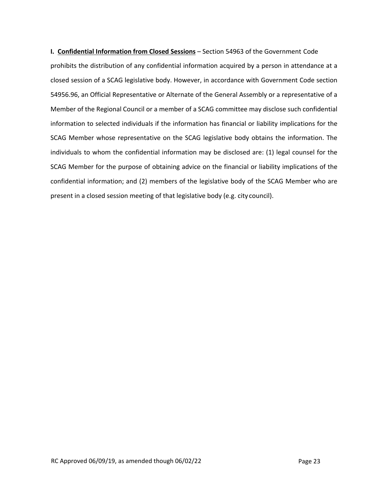**I. Confidential Information from Closed Sessions** – Section 54963 of the Government Code prohibits the distribution of any confidential information acquired by a person in attendance at a closed session of a SCAG legislative body. However, in accordance with Government Code section 54956.96, an Official Representative or Alternate of the General Assembly or a representative of a Member of the Regional Council or a member of a SCAG committee may disclose such confidential information to selected individuals if the information has financial or liability implications for the SCAG Member whose representative on the SCAG legislative body obtains the information. The individuals to whom the confidential information may be disclosed are: (1) legal counsel for the SCAG Member for the purpose of obtaining advice on the financial or liability implications of the confidential information; and (2) members of the legislative body of the SCAG Member who are present in a closed session meeting of that legislative body (e.g. city council).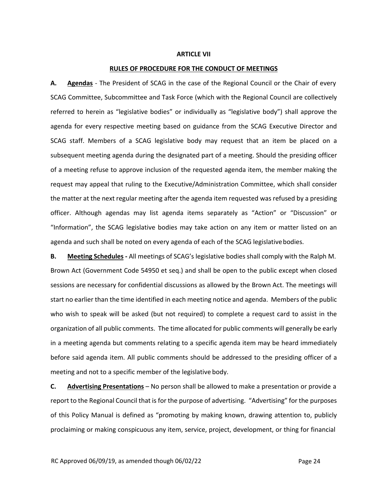#### **ARTICLE VII**

#### **RULES OF PROCEDURE FOR THE CONDUCT OF MEETINGS**

**A. Agendas** ‐ The President of SCAG in the case of the Regional Council or the Chair of every SCAG Committee, Subcommittee and Task Force (which with the Regional Council are collectively referred to herein as "legislative bodies" or individually as "legislative body") shall approve the agenda for every respective meeting based on guidance from the SCAG Executive Director and SCAG staff. Members of a SCAG legislative body may request that an item be placed on a subsequent meeting agenda during the designated part of a meeting. Should the presiding officer of a meeting refuse to approve inclusion of the requested agenda item, the member making the request may appeal that ruling to the Executive/Administration Committee, which shall consider the matter at the next regular meeting after the agenda item requested was refused by a presiding officer. Although agendas may list agenda items separately as "Action" or "Discussion" or "Information", the SCAG legislative bodies may take action on any item or matter listed on an agenda and such shall be noted on every agenda of each of the SCAG legislativebodies.

**B. Meeting Schedules ‐** All meetings of SCAG's legislative bodies shall comply with the Ralph M. Brown Act (Government Code 54950 et seq.) and shall be open to the public except when closed sessions are necessary for confidential discussions as allowed by the Brown Act. The meetings will start no earlier than the time identified in each meeting notice and agenda. Members of the public who wish to speak will be asked (but not required) to complete a request card to assist in the organization of all public comments. The time allocated for public comments will generally be early in a meeting agenda but comments relating to a specific agenda item may be heard immediately before said agenda item. All public comments should be addressed to the presiding officer of a meeting and not to a specific member of the legislative body.

**C. Advertising Presentations** – No person shall be allowed to make a presentation or provide a report to the Regional Council that is for the purpose of advertising. "Advertising" for the purposes of this Policy Manual is defined as "promoting by making known, drawing attention to, publicly proclaiming or making conspicuous any item, service, project, development, or thing for financial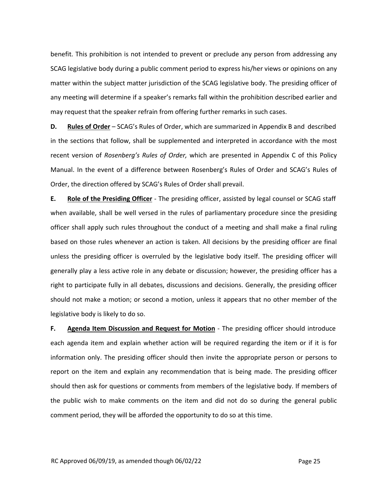benefit. This prohibition is not intended to prevent or preclude any person from addressing any SCAG legislative body during a public comment period to express his/her views or opinions on any matter within the subject matter jurisdiction of the SCAG legislative body. The presiding officer of any meeting will determine if a speaker's remarks fall within the prohibition described earlier and may request that the speaker refrain from offering further remarks in such cases.

**D. Rules of Order** – SCAG's Rules of Order, which are summarized in Appendix B and described in the sections that follow, shall be supplemented and interpreted in accordance with the most recent version of *Rosenberg's Rules of Order,* which are presented in Appendix C of this Policy Manual. In the event of a difference between Rosenberg's Rules of Order and SCAG's Rules of Order, the direction offered by SCAG's Rules of Order shall prevail.

**E. Role of the Presiding Officer** ‐ The presiding officer, assisted by legal counsel or SCAG staff when available, shall be well versed in the rules of parliamentary procedure since the presiding officer shall apply such rules throughout the conduct of a meeting and shall make a final ruling based on those rules whenever an action is taken. All decisions by the presiding officer are final unless the presiding officer is overruled by the legislative body itself. The presiding officer will generally play a less active role in any debate or discussion; however, the presiding officer has a right to participate fully in all debates, discussions and decisions. Generally, the presiding officer should not make a motion; or second a motion, unless it appears that no other member of the legislative body is likely to do so.

**F. Agenda Item Discussion and Request for Motion** ‐ The presiding officer should introduce each agenda item and explain whether action will be required regarding the item or if it is for information only. The presiding officer should then invite the appropriate person or persons to report on the item and explain any recommendation that is being made. The presiding officer should then ask for questions or comments from members of the legislative body. If members of the public wish to make comments on the item and did not do so during the general public comment period, they will be afforded the opportunity to do so at this time.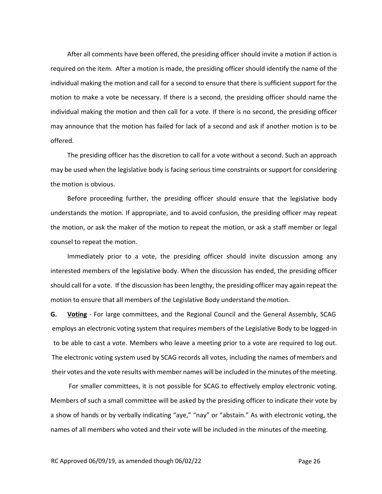After all comments have been offered, the presiding officer should invite a motion if action is required on the item. After a motion is made, the presiding officer should identify the name of the individual making the motion and call for a second to ensure that there is sufficient support for the motion to make a vote be necessary. If there is a second, the presiding officer should name the individual making the motion and then call for a vote. If there is no second, the presiding officer may announce that the motion has failed for lack of a second and ask if another motion is to be offered.

The presiding officer has the discretion to call for a vote without a second. Such an approach may be used when the legislative body is facing serious time constraints or support for considering the motion is obvious.

Before proceeding further, the presiding officer should ensure that the legislative body understands the motion. If appropriate, and to avoid confusion, the presiding officer may repeat the motion, or ask the maker of the motion to repeat the motion, or ask a staff member or legal counsel to repeat the motion.

Immediately prior to a vote, the presiding officer should invite discussion among any interested members of the legislative body. When the discussion has ended, the presiding officer should call for a vote. If the discussion has been lengthy, the presiding officer may again repeat the motion to ensure that all members of the Legislative Body understand themotion.

**G. Voting** ‐ For large committees, and the Regional Council and the General Assembly, SCAG employs an electronic voting system that requires members of the Legislative Body to be logged‐in to be able to cast a vote. Members who leave a meeting prior to a vote are required to log out. The electronic voting system used by SCAG records all votes, including the names ofmembers and their votes and the vote results with member names will be included in the minutes of the meeting.

For smaller committees, it is not possible for SCAG to effectively employ electronic voting. Members of such a small committee will be asked by the presiding officer to indicate their vote by a show of hands or by verbally indicating "aye," "nay" or "abstain." As with electronic voting, the names of all members who voted and their vote will be included in the minutes of the meeting.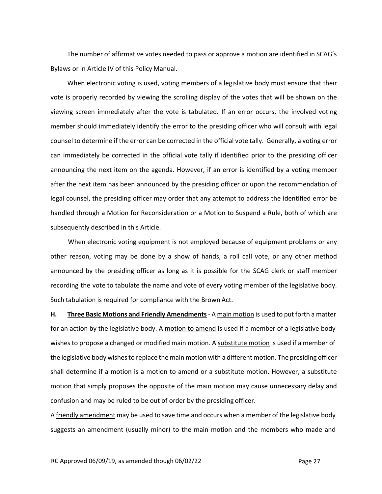The number of affirmative votes needed to pass or approve a motion are identified in SCAG's Bylaws or in Article IV of this Policy Manual.

When electronic voting is used, voting members of a legislative body must ensure that their vote is properly recorded by viewing the scrolling display of the votes that will be shown on the viewing screen immediately after the vote is tabulated. If an error occurs, the involved voting member should immediately identify the error to the presiding officer who will consult with legal counsel to determine if the error can be corrected in the official vote tally. Generally, a voting error can immediately be corrected in the official vote tally if identified prior to the presiding officer announcing the next item on the agenda. However, if an error is identified by a voting member after the next item has been announced by the presiding officer or upon the recommendation of legal counsel, the presiding officer may order that any attempt to address the identified error be handled through a Motion for Reconsideration or a Motion to Suspend a Rule, both of which are subsequently described in this Article.

When electronic voting equipment is not employed because of equipment problems or any other reason, voting may be done by a show of hands, a roll call vote, or any other method announced by the presiding officer as long as it is possible for the SCAG clerk or staff member recording the vote to tabulate the name and vote of every voting member of the legislative body. Such tabulation is required for compliance with the Brown Act.

**H. Three Basic Motions and Friendly Amendments**‐ A main motion is used to put forth a matter for an action by the legislative body. A motion to amend is used if a member of a legislative body wishes to propose a changed or modified main motion. A substitute motion is used if a member of the legislative body wishesto replace the main motion with a different motion. The presiding officer shall determine if a motion is a motion to amend or a substitute motion. However, a substitute motion that simply proposes the opposite of the main motion may cause unnecessary delay and confusion and may be ruled to be out of order by the presiding officer.

A friendly amendment may be used to save time and occurs when a member of the legislative body suggests an amendment (usually minor) to the main motion and the members who made and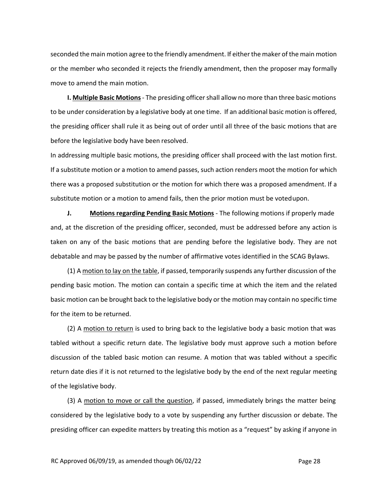seconded the main motion agree to the friendly amendment. If either the maker of the main motion or the member who seconded it rejects the friendly amendment, then the proposer may formally move to amend the main motion.

**I. Multiple Basic Motions** - The presiding officer shall allow no more than three basic motions to be under consideration by a legislative body at one time. If an additional basic motion is offered, the presiding officer shall rule it as being out of order until all three of the basic motions that are before the legislative body have been resolved.

In addressing multiple basic motions, the presiding officer shall proceed with the last motion first. If a substitute motion or a motion to amend passes, such action renders moot the motion for which there was a proposed substitution or the motion for which there was a proposed amendment. If a substitute motion or a motion to amend fails, then the prior motion must be votedupon.

**J. Motions regarding Pending Basic Motions** ‐ The following motions if properly made and, at the discretion of the presiding officer, seconded, must be addressed before any action is taken on any of the basic motions that are pending before the legislative body. They are not debatable and may be passed by the number of affirmative votes identified in the SCAG Bylaws.

(1) A motion to lay on the table, if passed, temporarily suspends any further discussion of the pending basic motion. The motion can contain a specific time at which the item and the related basic motion can be brought back to the legislative body or the motion may contain no specific time for the item to be returned.

(2) A motion to return is used to bring back to the legislative body a basic motion that was tabled without a specific return date. The legislative body must approve such a motion before discussion of the tabled basic motion can resume. A motion that was tabled without a specific return date dies if it is not returned to the legislative body by the end of the next regular meeting of the legislative body.

(3) A motion to move or call the question, if passed, immediately brings the matter being considered by the legislative body to a vote by suspending any further discussion or debate. The presiding officer can expedite matters by treating this motion as a "request" by asking if anyone in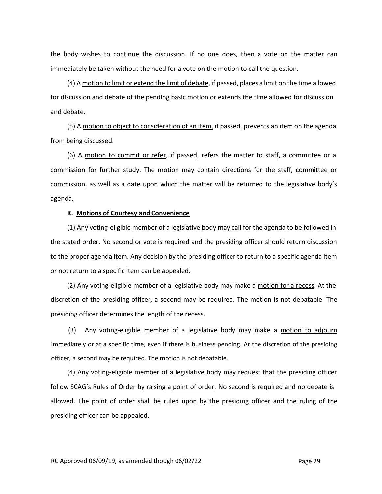the body wishes to continue the discussion. If no one does, then a vote on the matter can immediately be taken without the need for a vote on the motion to call the question.

(4) A motion to limit or extend the limit of debate, if passed, places a limit on the time allowed for discussion and debate of the pending basic motion or extends the time allowed for discussion and debate.

(5) A motion to object to consideration of an item, if passed, prevents an item on the agenda from being discussed.

(6) A motion to commit or refer, if passed, refers the matter to staff, a committee or a commission for further study. The motion may contain directions for the staff, committee or commission, as well as a date upon which the matter will be returned to the legislative body's agenda.

#### **K. Motions of Courtesy and Convenience**

(1) Any voting-eligible member of a legislative body may call for the agenda to be followed in the stated order. No second or vote is required and the presiding officer should return discussion to the proper agenda item. Any decision by the presiding officer to return to a specific agenda item or not return to a specific item can be appealed.

(2) Any voting‐eligible member of a legislative body may make a motion for a recess. At the discretion of the presiding officer, a second may be required. The motion is not debatable. The presiding officer determines the length of the recess.

(3) Any voting‐eligible member of a legislative body may make a motion to adjourn immediately or at a specific time, even if there is business pending. At the discretion of the presiding officer, a second may be required. The motion is not debatable.

(4) Any voting‐eligible member of a legislative body may request that the presiding officer follow SCAG's Rules of Order by raising a point of order. No second is required and no debate is allowed. The point of order shall be ruled upon by the presiding officer and the ruling of the presiding officer can be appealed.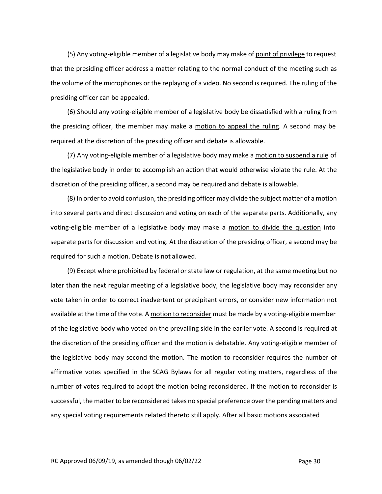(5) Any voting-eligible member of a legislative body may make of point of privilege to request that the presiding officer address a matter relating to the normal conduct of the meeting such as the volume of the microphones or the replaying of a video. No second is required. The ruling of the presiding officer can be appealed.

(6) Should any voting‐eligible member of a legislative body be dissatisfied with a ruling from the presiding officer, the member may make a motion to appeal the ruling. A second may be required at the discretion of the presiding officer and debate is allowable.

(7) Any voting-eligible member of a legislative body may make a motion to suspend a rule of the legislative body in order to accomplish an action that would otherwise violate the rule. At the discretion of the presiding officer, a second may be required and debate is allowable.

(8) In order to avoid confusion, the presiding officer may divide the subject matter of a motion into several parts and direct discussion and voting on each of the separate parts. Additionally, any voting-eligible member of a legislative body may make a motion to divide the question into separate parts for discussion and voting. At the discretion of the presiding officer, a second may be required for such a motion. Debate is not allowed.

(9) Except where prohibited by federal or state law or regulation, at the same meeting but no later than the next regular meeting of a legislative body, the legislative body may reconsider any vote taken in order to correct inadvertent or precipitant errors, or consider new information not available at the time of the vote. A motion to reconsider must be made by a voting‐eligible member of the legislative body who voted on the prevailing side in the earlier vote. A second is required at the discretion of the presiding officer and the motion is debatable. Any voting‐eligible member of the legislative body may second the motion. The motion to reconsider requires the number of affirmative votes specified in the SCAG Bylaws for all regular voting matters, regardless of the number of votes required to adopt the motion being reconsidered. If the motion to reconsider is successful, the matter to be reconsidered takes no special preference over the pending matters and any special voting requirements related thereto still apply. After all basic motions associated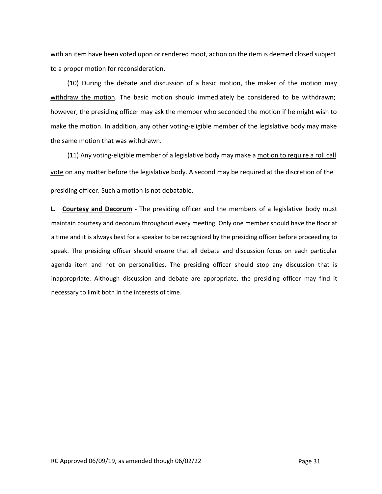with an item have been voted upon or rendered moot, action on the item is deemed closed subject to a proper motion for reconsideration.

(10) During the debate and discussion of a basic motion, the maker of the motion may withdraw the motion. The basic motion should immediately be considered to be withdrawn; however, the presiding officer may ask the member who seconded the motion if he might wish to make the motion. In addition, any other voting-eligible member of the legislative body may make the same motion that was withdrawn.

(11) Any voting-eligible member of a legislative body may make a motion to require a roll call vote on any matter before the legislative body. A second may be required at the discretion of the presiding officer. Such a motion is not debatable.

**L. Courtesy and Decorum ‐** The presiding officer and the members of a legislative body must maintain courtesy and decorum throughout every meeting. Only one member should have the floor at a time and it is always best for a speaker to be recognized by the presiding officer before proceeding to speak. The presiding officer should ensure that all debate and discussion focus on each particular agenda item and not on personalities. The presiding officer should stop any discussion that is inappropriate. Although discussion and debate are appropriate, the presiding officer may find it necessary to limit both in the interests of time.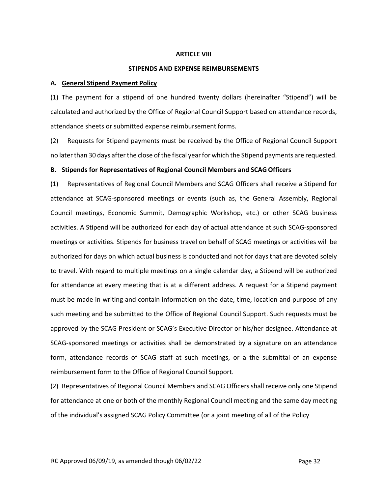#### **ARTICLE VIII**

#### **STIPENDS AND EXPENSE REIMBURSEMENTS**

#### **A. General Stipend Payment Policy**

(1) The payment for a stipend of one hundred twenty dollars (hereinafter "Stipend") will be calculated and authorized by the Office of Regional Council Support based on attendance records, attendance sheets or submitted expense reimbursement forms.

(2) Requests for Stipend payments must be received by the Office of Regional Council Support no laterthan 30 days afterthe close of the fiscal yearfor which the Stipend payments are requested.

#### **B. Stipends for Representatives of Regional Council Members and SCAGOfficers**

(1) Representatives of Regional Council Members and SCAG Officers shall receive a Stipend for attendance at SCAG‐sponsored meetings or events (such as, the General Assembly, Regional Council meetings, Economic Summit, Demographic Workshop, etc.) or other SCAG business activities. A Stipend will be authorized for each day of actual attendance at such SCAG‐sponsored meetings or activities. Stipends for business travel on behalf of SCAG meetings or activities will be authorized for days on which actual business is conducted and not for days that are devoted solely to travel. With regard to multiple meetings on a single calendar day, a Stipend will be authorized for attendance at every meeting that is at a different address. A request for a Stipend payment must be made in writing and contain information on the date, time, location and purpose of any such meeting and be submitted to the Office of Regional Council Support. Such requests must be approved by the SCAG President or SCAG's Executive Director or his/her designee. Attendance at SCAG‐sponsored meetings or activities shall be demonstrated by a signature on an attendance form, attendance records of SCAG staff at such meetings, or a the submittal of an expense reimbursement form to the Office of Regional Council Support.

(2) Representatives of Regional Council Members and SCAG Officers shall receive only one Stipend for attendance at one or both of the monthly Regional Council meeting and the same day meeting of the individual's assigned SCAG Policy Committee (or a joint meeting of all of the Policy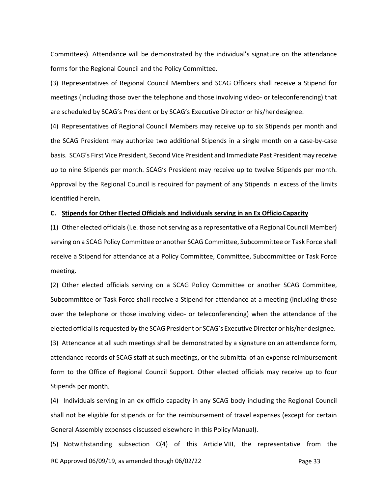Committees). Attendance will be demonstrated by the individual's signature on the attendance forms for the Regional Council and the Policy Committee.

(3) Representatives of Regional Council Members and SCAG Officers shall receive a Stipend for meetings (including those over the telephone and those involving video‐ or teleconferencing) that are scheduled by SCAG's President or by SCAG's Executive Director or his/herdesignee.

(4) Representatives of Regional Council Members may receive up to six Stipends per month and the SCAG President may authorize two additional Stipends in a single month on a case-by-case basis. SCAG's First Vice President, Second Vice President and Immediate Past President may receive up to nine Stipends per month. SCAG's President may receive up to twelve Stipends per month. Approval by the Regional Council is required for payment of any Stipends in excess of the limits identified herein.

#### **C. Stipends for Other Elected Officials and Individuals serving in an Ex Officio Capacity**

(1) Other elected officials (i.e. those not serving as a representative of a Regional Council Member) serving on a SCAG Policy Committee or another SCAG Committee, Subcommittee or Task Force shall receive a Stipend for attendance at a Policy Committee, Committee, Subcommittee or Task Force meeting.

(2) Other elected officials serving on a SCAG Policy Committee or another SCAG Committee, Subcommittee or Task Force shall receive a Stipend for attendance at a meeting (including those over the telephone or those involving video‐ or teleconferencing) when the attendance of the elected official is requested by the SCAG President or SCAG's Executive Director or his/her designee.

(3) Attendance at all such meetings shall be demonstrated by a signature on an attendance form, attendance records of SCAG staff at such meetings, or the submittal of an expense reimbursement form to the Office of Regional Council Support. Other elected officials may receive up to four Stipends per month.

(4) Individuals serving in an ex officio capacity in any SCAG body including the Regional Council shall not be eligible for stipends or for the reimbursement of travel expenses (except for certain General Assembly expenses discussed elsewhere in this Policy Manual).

RC Approved  $06/09/19$ , as amended though  $06/02/22$  Page 33 (5) Notwithstanding subsection C(4) of this Article VIII, the representative from the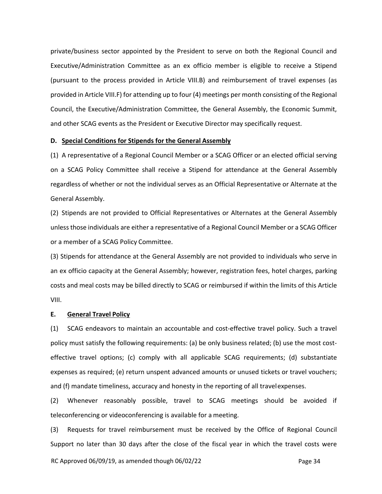private/business sector appointed by the President to serve on both the Regional Council and Executive/Administration Committee as an ex officio member is eligible to receive a Stipend (pursuant to the process provided in Article VIII.B) and reimbursement of travel expenses (as provided in Article VIII.F) for attending up to four (4) meetings per month consisting of the Regional Council, the Executive/Administration Committee, the General Assembly, the Economic Summit, and other SCAG events as the President or Executive Director may specifically request.

#### **D. Special Conditions for Stipends for the General Assembly**

(1) A representative of a Regional Council Member or a SCAG Officer or an elected official serving on a SCAG Policy Committee shall receive a Stipend for attendance at the General Assembly regardless of whether or not the individual serves as an Official Representative or Alternate at the General Assembly.

(2) Stipends are not provided to Official Representatives or Alternates at the General Assembly unlessthose individuals are either a representative of a Regional Council Member or a SCAG Officer or a member of a SCAG Policy Committee.

(3) Stipends for attendance at the General Assembly are not provided to individuals who serve in an ex officio capacity at the General Assembly; however, registration fees, hotel charges, parking costs and meal costs may be billed directly to SCAG or reimbursed if within the limits of this Article VIII.

#### **E. General Travel Policy**

(1) SCAG endeavors to maintain an accountable and cost‐effective travel policy. Such a travel policy must satisfy the following requirements: (a) be only business related; (b) use the most costeffective travel options; (c) comply with all applicable SCAG requirements; (d) substantiate expenses as required; (e) return unspent advanced amounts or unused tickets or travel vouchers; and (f) mandate timeliness, accuracy and honesty in the reporting of all travelexpenses.

(2) Whenever reasonably possible, travel to SCAG meetings should be avoided if teleconferencing or videoconferencing is available for a meeting.

(3) Requests for travel reimbursement must be received by the Office of Regional Council Support no later than 30 days after the close of the fiscal year in which the travel costs were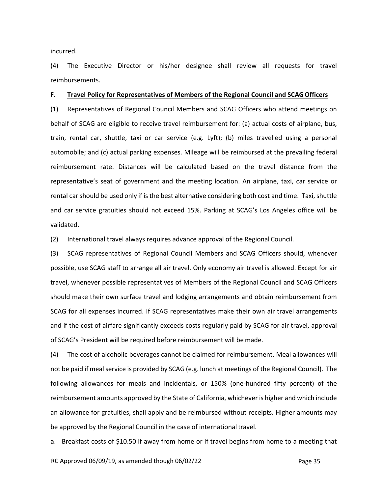incurred.

(4) The Executive Director or his/her designee shall review all requests for travel reimbursements.

#### **F. Travel Policy for Representatives of Members of the Regional Council and SCAGOfficers**

(1) Representatives of Regional Council Members and SCAG Officers who attend meetings on behalf of SCAG are eligible to receive travel reimbursement for: (a) actual costs of airplane, bus, train, rental car, shuttle, taxi or car service (e.g. Lyft); (b) miles travelled using a personal automobile; and (c) actual parking expenses. Mileage will be reimbursed at the prevailing federal reimbursement rate. Distances will be calculated based on the travel distance from the representative's seat of government and the meeting location. An airplane, taxi, car service or rental car should be used only if is the best alternative considering both cost and time. Taxi, shuttle and car service gratuities should not exceed 15%. Parking at SCAG's Los Angeles office will be validated.

(2) International travel always requires advance approval of the Regional Council.

(3) SCAG representatives of Regional Council Members and SCAG Officers should, whenever possible, use SCAG staff to arrange all air travel. Only economy air travel is allowed. Except for air travel, whenever possible representatives of Members of the Regional Council and SCAG Officers should make their own surface travel and lodging arrangements and obtain reimbursement from SCAG for all expenses incurred. If SCAG representatives make their own air travel arrangements and if the cost of airfare significantly exceeds costs regularly paid by SCAG for air travel, approval of SCAG's President will be required before reimbursement will be made.

(4) The cost of alcoholic beverages cannot be claimed for reimbursement. Meal allowances will not be paid if meal service is provided by SCAG (e.g. lunch at meetings of the Regional Council). The following allowances for meals and incidentals, or 150% (one-hundred fifty percent) of the reimbursement amounts approved by the State of California, whichever is higher and which include an allowance for gratuities, shall apply and be reimbursed without receipts. Higher amounts may be approved by the Regional Council in the case of internationaltravel.

a. Breakfast costs of \$10.50 if away from home or if travel begins from home to a meeting that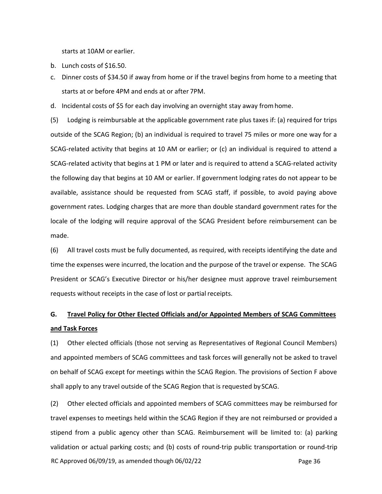starts at 10AM or earlier.

- b. Lunch costs of \$16.50.
- c. Dinner costs of \$34.50 if away from home or if the travel begins from home to a meeting that starts at or before 4PM and ends at or after 7PM.

d. Incidental costs of \$5 for each day involving an overnight stay away fromhome.

(5) Lodging is reimbursable at the applicable government rate plus taxes if: (a) required for trips outside of the SCAG Region; (b) an individual is required to travel 75 miles or more one way for a SCAG‐related activity that begins at 10 AM or earlier; or (c) an individual is required to attend a SCAG‐related activity that begins at 1 PM or later and is required to attend a SCAG‐related activity the following day that begins at 10 AM or earlier. If government lodging rates do not appear to be available, assistance should be requested from SCAG staff, if possible, to avoid paying above government rates. Lodging charges that are more than double standard government rates for the locale of the lodging will require approval of the SCAG President before reimbursement can be made.

(6) All travel costs must be fully documented, as required, with receipts identifying the date and time the expenses were incurred, the location and the purpose of the travel or expense. The SCAG President or SCAG's Executive Director or his/her designee must approve travel reimbursement requests without receipts in the case of lost or partial receipts.

# **G. Travel Policy for Other Elected Officials and/or Appointed Members of SCAG Committees and Task Forces**

(1) Other elected officials (those not serving as Representatives of Regional Council Members) and appointed members of SCAG committees and task forces will generally not be asked to travel on behalf of SCAG except for meetings within the SCAG Region. The provisions of Section F above shall apply to any travel outside of the SCAG Region that is requested by SCAG.

(2) Other elected officials and appointed members of SCAG committees may be reimbursed for travel expenses to meetings held within the SCAG Region if they are not reimbursed or provided a stipend from a public agency other than SCAG. Reimbursement will be limited to: (a) parking validation or actual parking costs; and (b) costs of round‐trip public transportation or round‐trip

RC Approved  $06/09/19$ , as amended though  $06/02/22$  Page 36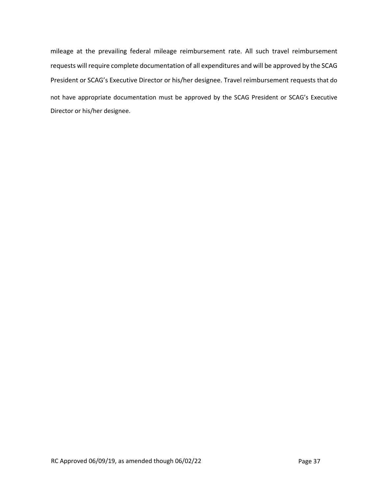mileage at the prevailing federal mileage reimbursement rate. All such travel reimbursement requests will require complete documentation of all expenditures and will be approved by the SCAG President or SCAG's Executive Director or his/her designee. Travel reimbursement requests that do not have appropriate documentation must be approved by the SCAG President or SCAG's Executive Director or his/her designee.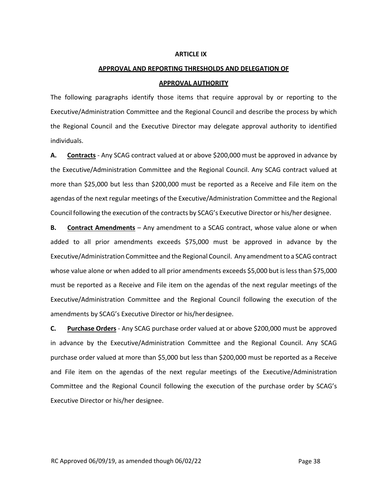#### **ARTICLE IX**

# **APPROVAL AND REPORTING THRESHOLDS AND DELEGATION OF APPROVAL AUTHORITY**

The following paragraphs identify those items that require approval by or reporting to the Executive/Administration Committee and the Regional Council and describe the process by which the Regional Council and the Executive Director may delegate approval authority to identified individuals.

**A. Contracts** ‐ Any SCAG contract valued at or above \$200,000 must be approved in advance by the Executive/Administration Committee and the Regional Council. Any SCAG contract valued at more than \$25,000 but less than \$200,000 must be reported as a Receive and File item on the agendas of the next regular meetings of the Executive/Administration Committee and the Regional Council following the execution of the contracts by SCAG's Executive Director or his/her designee.

**B. Contract Amendments** – Any amendment to a SCAG contract, whose value alone or when added to all prior amendments exceeds \$75,000 must be approved in advance by the Executive/Administration Committee and the Regional Council. Any amendment to a SCAG contract whose value alone or when added to all prior amendments exceeds \$5,000 but is less than \$75,000 must be reported as a Receive and File item on the agendas of the next regular meetings of the Executive/Administration Committee and the Regional Council following the execution of the amendments by SCAG's Executive Director or his/herdesignee.

**C. Purchase Orders** ‐ Any SCAG purchase order valued at or above \$200,000 must be approved in advance by the Executive/Administration Committee and the Regional Council. Any SCAG purchase order valued at more than \$5,000 but less than \$200,000 must be reported as a Receive and File item on the agendas of the next regular meetings of the Executive/Administration Committee and the Regional Council following the execution of the purchase order by SCAG's Executive Director or his/her designee.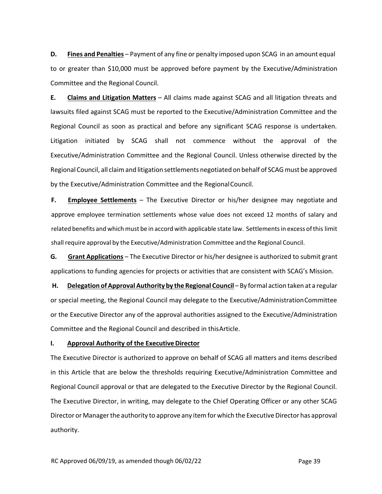**D. Fines and Penalties** – Payment of any fine or penalty imposed upon SCAG in an amount equal to or greater than \$10,000 must be approved before payment by the Executive/Administration Committee and the Regional Council.

**E. Claims and Litigation Matters** – All claims made against SCAG and all litigation threats and lawsuits filed against SCAG must be reported to the Executive/Administration Committee and the Regional Council as soon as practical and before any significant SCAG response is undertaken. Litigation initiated by SCAG shall not commence without the approval of the Executive/Administration Committee and the Regional Council. Unless otherwise directed by the Regional Council, all claim and litigation settlements negotiated on behalf of SCAG must be approved by the Executive/Administration Committee and the RegionalCouncil.

**F. Employee Settlements** – The Executive Director or his/her designee may negotiate and approve employee termination settlements whose value does not exceed 12 months of salary and related benefits and which must be in accord with applicable state law. Settlementsin excess ofthis limit shall require approval by the Executive/Administration Committee and the Regional Council.

**G. Grant Applications** – The Executive Director or his/her designee is authorized to submit grant applications to funding agencies for projects or activities that are consistent with SCAG's Mission.

**H. Delegation of ApprovalAuthority by the Regional Council** – By formal action taken at a regular or special meeting, the Regional Council may delegate to the Executive/AdministrationCommittee or the Executive Director any of the approval authorities assigned to the Executive/Administration Committee and the Regional Council and described in thisArticle.

#### **I. Approval Authority of the Executive Director**

The Executive Director is authorized to approve on behalf of SCAG all matters and items described in this Article that are below the thresholds requiring Executive/Administration Committee and Regional Council approval or that are delegated to the Executive Director by the Regional Council. The Executive Director, in writing, may delegate to the Chief Operating Officer or any other SCAG Director or Manager the authority to approve any item for which the Executive Director has approval authority.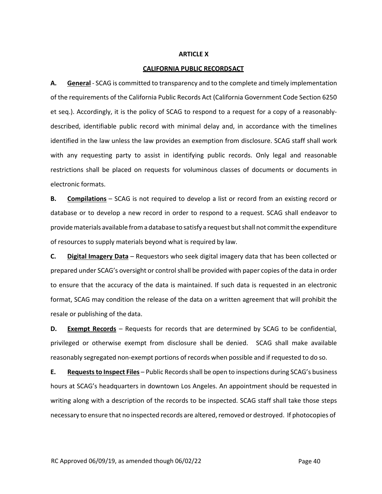#### **ARTICLE X**

#### **CALIFORNIA PUBLIC RECORDSACT**

**A. General** ‐ SCAG is committed to transparency and to the complete and timely implementation of the requirements of the California Public Records Act (California Government Code Section 6250 et seq.). Accordingly, it is the policy of SCAG to respond to a request for a copy of a reasonably‐ described, identifiable public record with minimal delay and, in accordance with the timelines identified in the law unless the law provides an exemption from disclosure. SCAG staff shall work with any requesting party to assist in identifying public records. Only legal and reasonable restrictions shall be placed on requests for voluminous classes of documents or documents in electronic formats.

**B. Compilations** – SCAG is not required to develop a list or record from an existing record or database or to develop a new record in order to respond to a request. SCAG shall endeavor to providematerials available froma database to satisfy a request butshall not committhe expenditure of resources to supply materials beyond what is required by law.

**C. Digital Imagery Data** – Requestors who seek digital imagery data that has been collected or prepared under SCAG's oversight or control shall be provided with paper copies of the data in order to ensure that the accuracy of the data is maintained. If such data is requested in an electronic format, SCAG may condition the release of the data on a written agreement that will prohibit the resale or publishing of the data.

**D. Exempt Records** – Requests for records that are determined by SCAG to be confidential, privileged or otherwise exempt from disclosure shall be denied. SCAG shall make available reasonably segregated non‐exempt portions of records when possible and if requested to do so.

**E. Requeststo Inspect Files** – Public Recordsshall be open to inspections during SCAG's business hours at SCAG's headquarters in downtown Los Angeles. An appointment should be requested in writing along with a description of the records to be inspected. SCAG staff shall take those steps necessary to ensure that no inspected records are altered, removed or destroyed. If photocopies of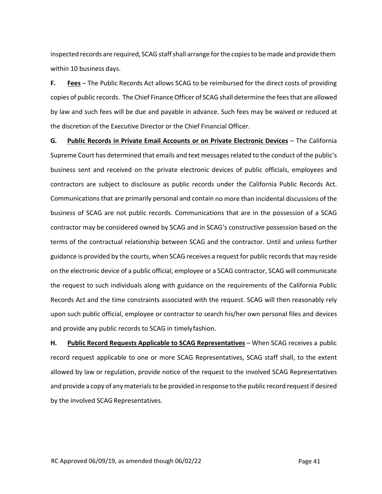inspected records are required, SCAG staff shall arrange for the copies to be made and provide them within 10 business days.

**F. Fees** – The Public Records Act allows SCAG to be reimbursed for the direct costs of providing copies of public records. The Chief Finance Officer of SCAG shall determine the feesthat are allowed by law and such fees will be due and payable in advance. Such fees may be waived or reduced at the discretion of the Executive Director or the Chief Financial Officer.

**G. Public Records in Private Email Accounts or on Private Electronic Devices** – The California Supreme Court has determined that emails and text messages related to the conduct of the public's business sent and received on the private electronic devices of public officials, employees and contractors are subject to disclosure as public records under the California Public Records Act. Communicationsthat are primarily personal and contain no more than incidental discussions of the business of SCAG are not public records. Communications that are in the possession of a SCAG contractor may be considered owned by SCAG and in SCAG's constructive possession based on the terms of the contractual relationship between SCAG and the contractor. Until and unless further guidance is provided by the courts, when SCAG receives a request for public recordsthat may reside on the electronic device of a public official, employee or a SCAG contractor, SCAG will communicate the request to such individuals along with guidance on the requirements of the California Public Records Act and the time constraints associated with the request. SCAG will then reasonably rely upon such public official, employee or contractor to search his/her own personal files and devices and provide any public records to SCAG in timelyfashion.

**H. Public Record Requests Applicable to SCAG Representatives** – When SCAG receives a public record request applicable to one or more SCAG Representatives, SCAG staff shall, to the extent allowed by law or regulation, provide notice of the request to the involved SCAG Representatives and provide a copy of any materials to be provided in response to the public record request if desired by the involved SCAG Representatives.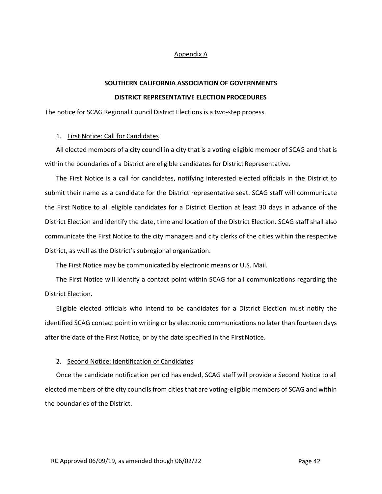#### Appendix A

# **SOUTHERN CALIFORNIA ASSOCIATION OF GOVERNMENTS DISTRICT REPRESENTATIVE ELECTION PROCEDURES**

The notice for SCAG Regional Council District Elections is a two-step process.

#### 1. First Notice: Call for Candidates

All elected members of a city council in a city that is a voting‐eligible member of SCAG and that is within the boundaries of a District are eligible candidates for District Representative.

The First Notice is a call for candidates, notifying interested elected officials in the District to submit their name as a candidate for the District representative seat. SCAG staff will communicate the First Notice to all eligible candidates for a District Election at least 30 days in advance of the District Election and identify the date, time and location of the District Election. SCAG staff shall also communicate the First Notice to the city managers and city clerks of the cities within the respective District, as well as the District's subregional organization.

The First Notice may be communicated by electronic means or U.S. Mail.

The First Notice will identify a contact point within SCAG for all communications regarding the District Election.

Eligible elected officials who intend to be candidates for a District Election must notify the identified SCAG contact point in writing or by electronic communications no later than fourteen days after the date of the First Notice, or by the date specified in the First Notice.

## 2. Second Notice: Identification of Candidates

Once the candidate notification period has ended, SCAG staff will provide a Second Notice to all elected members of the city councils from cities that are voting-eligible members of SCAG and within the boundaries of the District.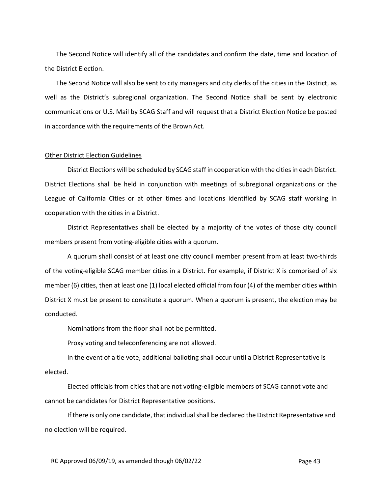The Second Notice will identify all of the candidates and confirm the date, time and location of the District Election.

The Second Notice will also be sent to city managers and city clerks of the cities in the District, as well as the District's subregional organization. The Second Notice shall be sent by electronic communications or U.S. Mail by SCAG Staff and will request that a District Election Notice be posted in accordance with the requirements of the Brown Act.

#### Other District Election Guidelines

District Elections will be scheduled by SCAG staff in cooperation with the cities in each District. District Elections shall be held in conjunction with meetings of subregional organizations or the League of California Cities or at other times and locations identified by SCAG staff working in cooperation with the cities in a District.

District Representatives shall be elected by a majority of the votes of those city council members present from voting‐eligible cities with a quorum.

A quorum shall consist of at least one city council member present from at least two‐thirds of the voting‐eligible SCAG member cities in a District. For example, if District X is comprised of six member (6) cities, then at least one (1) local elected official from four (4) of the member cities within District X must be present to constitute a quorum. When a quorum is present, the election may be conducted.

Nominations from the floor shall not be permitted.

Proxy voting and teleconferencing are not allowed.

In the event of a tie vote, additional balloting shall occur until a District Representative is elected.

Elected officials from cities that are not voting‐eligible members of SCAG cannot vote and cannot be candidates for District Representative positions.

If there is only one candidate, that individual shall be declared the District Representative and no election will be required.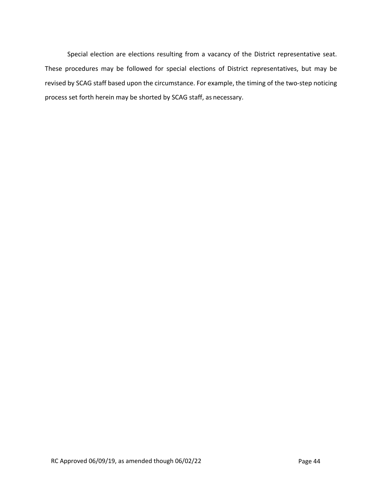Special election are elections resulting from a vacancy of the District representative seat. These procedures may be followed for special elections of District representatives, but may be revised by SCAG staff based upon the circumstance. For example, the timing of the two‐step noticing process set forth herein may be shorted by SCAG staff, as necessary.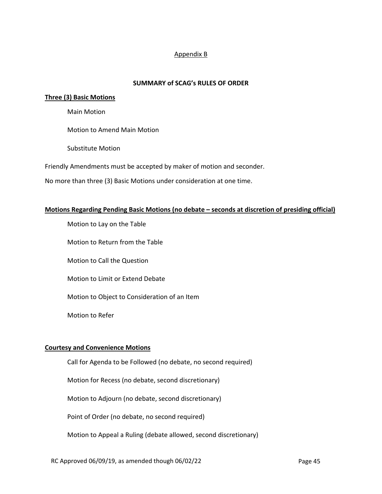## Appendix B

### **SUMMARY of SCAG's RULES OF ORDER**

#### **Three (3) Basic Motions**

Main Motion

Motion to Amend Main Motion

Substitute Motion

Friendly Amendments must be accepted by maker of motion and seconder.

No more than three (3) Basic Motions under consideration at one time.

#### **Motions Regarding Pending Basic Motions (no debate – seconds at discretion of presiding official)**

Motion to Lay on the Table

Motion to Return from the Table

Motion to Call the Question

Motion to Limit or Extend Debate

Motion to Object to Consideration of an Item

Motion to Refer

#### **Courtesy and Convenience Motions**

Call for Agenda to be Followed (no debate, no second required)

Motion for Recess (no debate, second discretionary)

Motion to Adjourn (no debate, second discretionary)

Point of Order (no debate, no second required)

Motion to Appeal a Ruling (debate allowed, second discretionary)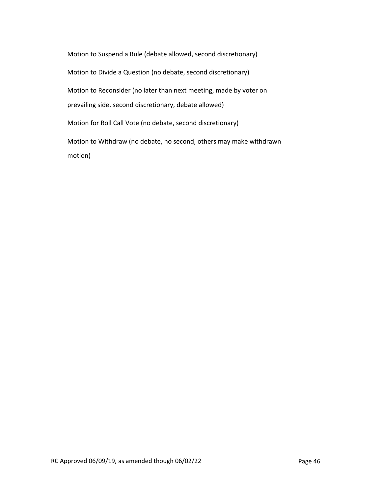Motion to Suspend a Rule (debate allowed, second discretionary) Motion to Divide a Question (no debate, second discretionary) Motion to Reconsider (no later than next meeting, made by voter on prevailing side, second discretionary, debate allowed) Motion for Roll Call Vote (no debate, second discretionary) Motion to Withdraw (no debate, no second, others may make withdrawn motion)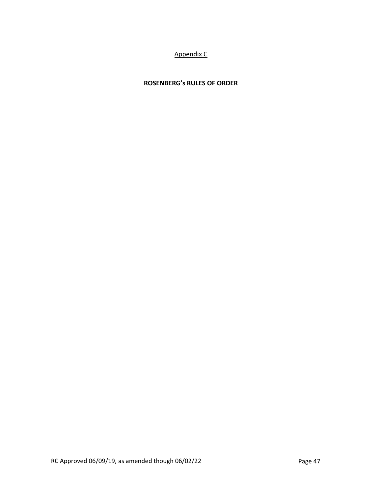# Appendix C

# **ROSENBERG's RULES OF ORDER**